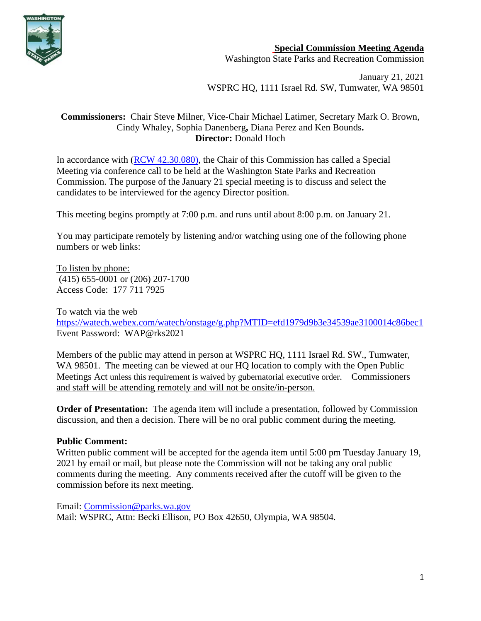

## **Special Commission Meeting Agenda**

Washington State Parks and Recreation Commission

January 21, 2021 WSPRC HQ, 1111 Israel Rd. SW, Tumwater, WA 98501

### **Commissioners:** Chair Steve Milner, Vice-Chair Michael Latimer, Secretary Mark O. Brown, Cindy Whaley, Sophia Danenberg**,** Diana Perez and Ken Bounds**. Director:** Donald Hoch

In accordance with [\(RCW 42.30.080\)](https://gcc02.safelinks.protection.outlook.com/?url=http%3A%2F%2Fapp.leg.wa.gov%2FRCW%2Fdefault.aspx%3Fcite%3D42.30.080&data=04%7C01%7CBecki.Ellison%40parks.wa.gov%7C9d0a10a54cda45f96e1a08d8a37f32d5%7C11d0e217264e400a8ba057dcc127d72d%7C0%7C0%7C637439113993792876%7CUnknown%7CTWFpbGZsb3d8eyJWIjoiMC4wLjAwMDAiLCJQIjoiV2luMzIiLCJBTiI6Ik1haWwiLCJXVCI6Mn0%3D%7C1000&sdata=dvFG7wtQixDX%2BxAzXhZJkkn%2Bo1RvVDrbL8ymhX5GnQg%3D&reserved=0), the Chair of this Commission has called a Special Meeting via conference call to be held at the Washington State Parks and Recreation Commission. The purpose of the January 21 special meeting is to discuss and select the candidates to be interviewed for the agency Director position.

This meeting begins promptly at 7:00 p.m. and runs until about 8:00 p.m. on January 21.

You may participate remotely by listening and/or watching using one of the following phone numbers or web links:

To listen by phone: (415) 655-0001 or (206) 207-1700 Access Code: 177 711 7925

To watch via the web <https://watech.webex.com/watech/onstage/g.php?MTID=efd1979d9b3e34539ae3100014c86bec1> Event Password: WAP@rks2021

Members of the public may attend in person at WSPRC HQ, 1111 Israel Rd. SW., Tumwater, WA 98501. The meeting can be viewed at our HQ location to comply with the Open Public Meetings Act unless this requirement is waived by gubernatorial executive order. Commissioners and staff will be attending remotely and will not be onsite/in-person.

**Order of Presentation:** The agenda item will include a presentation, followed by Commission discussion, and then a decision. There will be no oral public comment during the meeting.

## **Public Comment:**

Written public comment will be accepted for the agenda item until 5:00 pm Tuesday January 19, 2021 by email or mail, but please note the Commission will not be taking any oral public comments during the meeting. Any comments received after the cutoff will be given to the commission before its next meeting.

Email: [Commission@parks.wa.gov](mailto:Commission@parks.wa.gov)  Mail: WSPRC, Attn: Becki Ellison, PO Box 42650, Olympia, WA 98504.